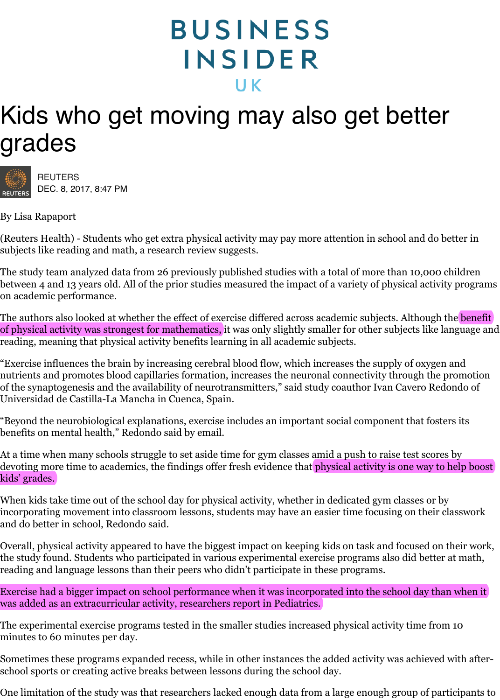By Lisa Rapaport

(Reuters Health) - Students who get extra physical activity may pay more attention in s subjects like reading and math, a research review suggests.

The study team analyzed data from 26 previously published studies with a total of more between 4 and 13 years old. All of the prior studies measured the impact of a variety of on academic performance.

The authors also looked at whether the effect of exercise differed across academic subje of physical activity was strongest for mathematics, it was only slightly smaller for other reading, meaning that physical activity benefits learning in all academic subjects.

"Exercise influences the brain by increasing cerebral blood flow, which increases the su nutrients and promotes blood capillaries formation, increases the neuronal connectivit [of the s](http://www.reuters.com/)y[naptogene](http://www.reuters.com/)sis and the availability of neurotransmitters," said study coauthor Iv Universidad de Castilla-La Mancha in Cuenca, Spain.

"Beyond the neurobiological explanations, exercise includes an important social compo benefits on mental health," Redondo said by email.

At a time when many schools struggle to set aside time for gym classes amid a push to r devoting more time to academics, the findings offer fresh evidence that physical activity kids' grades.

When kids take time out of the school day for physical activity, whether in dedicated gy incorporating movement into classroom lessons, students may have an easier time focu and do better in school, Redondo said.

Overall, physical activity appeared to have the biggest impact on keeping kids on task a the study found. Students who participated in various experimental exercise programs reading and language lessons than their peers who didn't participate in these programs.

Exercise had a bigger impact on school performance when it was incorporated into the was added as an extracurricular activity, researchers report in Pediatrics.

The experimental exercise programs tested in the smaller studies increased physical activity of minutes to 60 minutes per day.

Sometimes these programs expanded recess, while in other instances the added activity school sports or creating active breaks between lessons during the school day.

One limitation of the study was that researchers lacked enough data from a large enough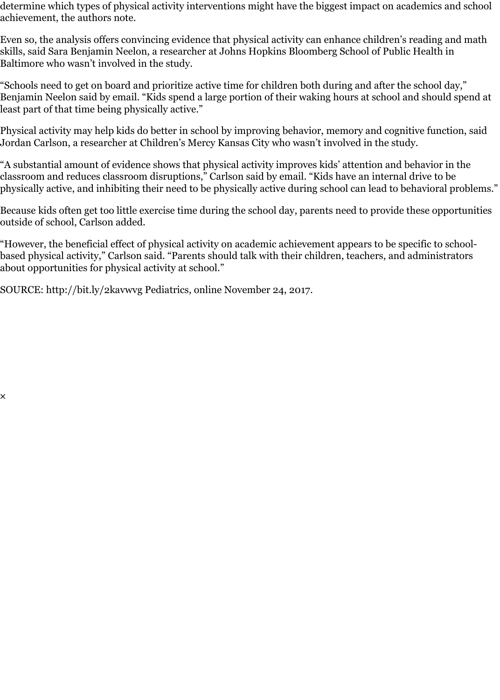determine which types of physical activity interventions might have the biggest impact on academics and school achievement, the authors note.

Even so, the analysis offers convincing evidence that physical activity can enhance children's reading and math skills, said Sara Benjamin Neelon, a researcher at Johns Hopkins Bloomberg School of Public Health in Baltimore who wasn't involved in the study.

"Schools need to get on board and prioritize active time for children both during and after the school day," Benjamin Neelon said by email. "Kids spend a large portion of their waking hours at school and should spend at least part of that time being physically active."

Physical activity may help kids do better in school by improving behavior, memory and cognitive function, said Jordan Carlson, a researcher at Children's Mercy Kansas City who wasn't involved in the study.

"A substantial amount of evidence shows that physical activity improves kids' attention and behavior in the classroom and reduces classroom disruptions," Carlson said by email. "Kids have an internal drive to be physically active, and inhibiting their need to be physically active during school can lead to behavioral problems."

Because kids often get too little exercise time during the school day, parents need to provide these opportunities outside of school, Carlson added.

"However, the beneficial effect of physical activity on academic achievement appears to be specific to schoolbased physical activity," Carlson said. "Parents should talk with their children, teachers, and administrators about opportunities for physical activity at school."

SOURCE: http://bit.ly/2kavwvg Pediatrics, online November 24, 2017.